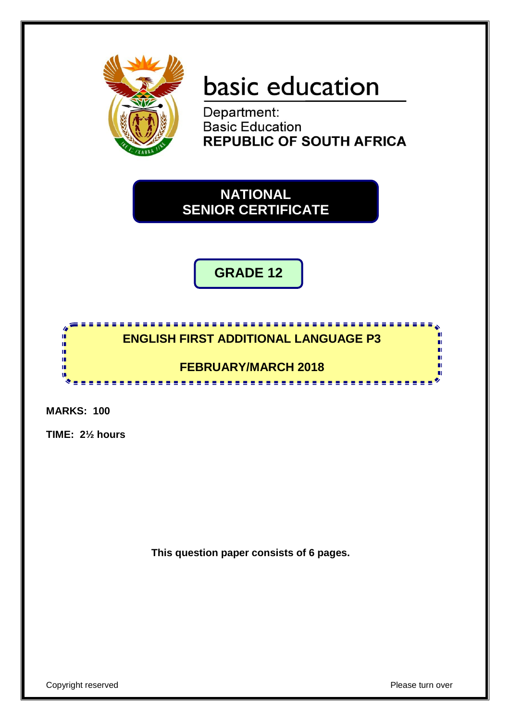

# basic education

Department: **Basic Education REPUBLIC OF SOUTH AFRICA** 

**NATIONAL SENIOR CERTIFICATE**

**GRADE 12**

# **ENGLISH FIRST ADDITIONAL LANGUAGE P3**

<u>..................</u>

## **FEBRUARY/MARCH 2018**

**MARKS: 100**

h I. I. ú, T. т w

**TIME: 2½ hours**

**This question paper consists of 6 pages.**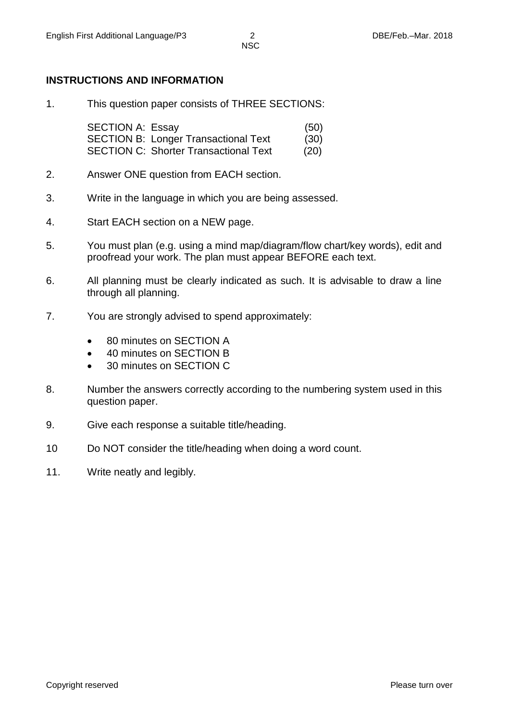## **INSTRUCTIONS AND INFORMATION**

1. This question paper consists of THREE SECTIONS:

SECTION A: Essay (50) SECTION B: Longer Transactional Text (30) SECTION C: Shorter Transactional Text (20)

- 2. Answer ONE question from EACH section.
- 3. Write in the language in which you are being assessed.
- 4. Start EACH section on a NEW page.
- 5. You must plan (e.g. using a mind map/diagram/flow chart/key words), edit and proofread your work. The plan must appear BEFORE each text.
- 6. All planning must be clearly indicated as such. It is advisable to draw a line through all planning.
- 7. You are strongly advised to spend approximately:
	- 80 minutes on SECTION A
	- 40 minutes on SECTION B
	- 30 minutes on SECTION C
- 8. Number the answers correctly according to the numbering system used in this question paper.
- 9. Give each response a suitable title/heading.
- 10 Do NOT consider the title/heading when doing a word count.
- 11. Write neatly and legibly.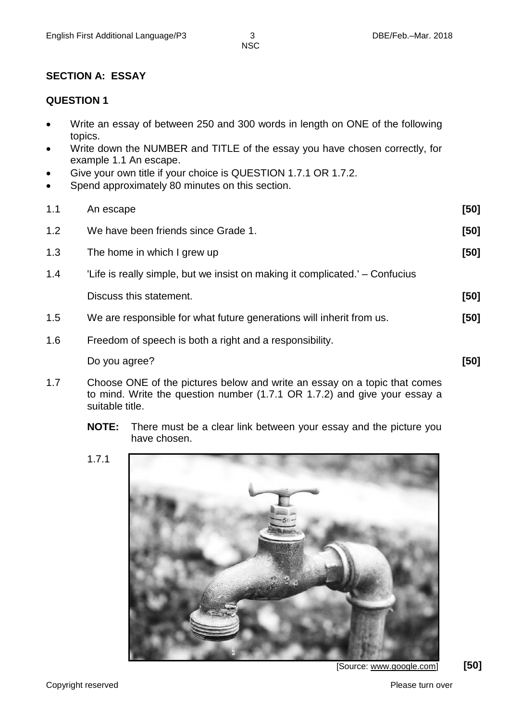NSC

#### **SECTION A: ESSAY**

#### **QUESTION 1**

- Write an essay of between 250 and 300 words in length on ONE of the following topics.
- Write down the NUMBER and TITLE of the essay you have chosen correctly, for example 1.1 An escape.
- Give your own title if your choice is QUESTION 1.7.1 OR 1.7.2.
- Spend approximately 80 minutes on this section.

| 1.1 | An escape                                                                    | $[50]$ |
|-----|------------------------------------------------------------------------------|--------|
| 1.2 | We have been friends since Grade 1.                                          | [50]   |
| 1.3 | The home in which I grew up                                                  | $[50]$ |
| 1.4 | 'Life is really simple, but we insist on making it complicated.' – Confucius |        |
|     | Discuss this statement.                                                      | $[50]$ |
| 1.5 | We are responsible for what future generations will inherit from us.         | [50]   |
| 1.6 | Freedom of speech is both a right and a responsibility.                      |        |
|     | Do you agree?                                                                | [50]   |

- 1.7 Choose ONE of the pictures below and write an essay on a topic that comes to mind. Write the question number (1.7.1 OR 1.7.2) and give your essay a suitable title.
	- **NOTE:** There must be a clear link between your essay and the picture you have chosen.
	- 1.7.1

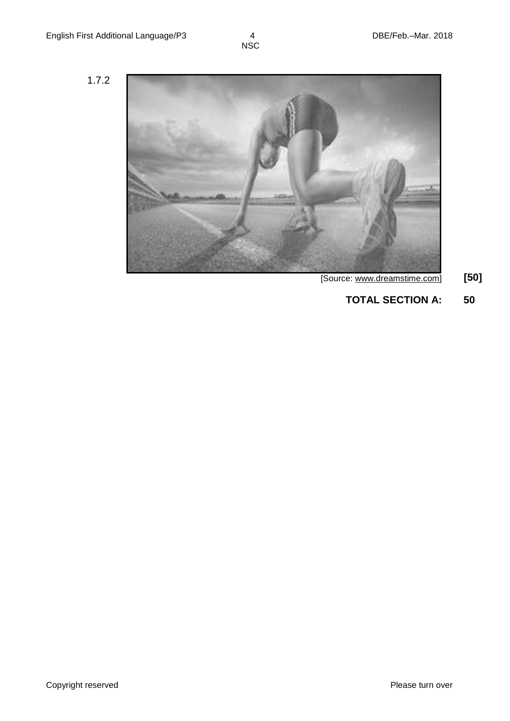1.7.2



- [Source: www.dreamstime.com] **[50]**
	- **TOTAL SECTION A: 50**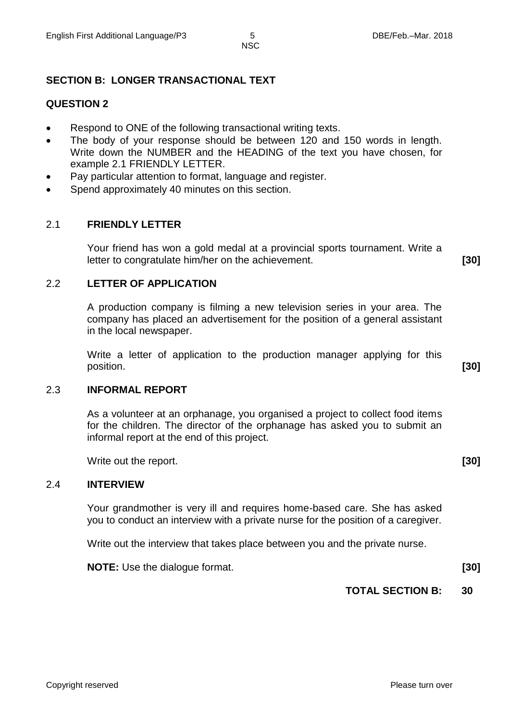**NSC** 

### **SECTION B: LONGER TRANSACTIONAL TEXT**

#### **QUESTION 2**

- Respond to ONE of the following transactional writing texts.
- The body of your response should be between 120 and 150 words in length. Write down the NUMBER and the HEADING of the text you have chosen, for example 2.1 FRIENDLY LETTER.
- Pay particular attention to format, language and register.
- Spend approximately 40 minutes on this section.

#### 2.1 **FRIENDLY LETTER**

Your friend has won a gold medal at a provincial sports tournament. Write a letter to congratulate him/her on the achievement. **[30]**

#### 2.2 **LETTER OF APPLICATION**

A production company is filming a new television series in your area. The company has placed an advertisement for the position of a general assistant in the local newspaper.

Write a letter of application to the production manager applying for this position. **[30]**

#### 2.3 **INFORMAL REPORT**

As a volunteer at an orphanage, you organised a project to collect food items for the children. The director of the orphanage has asked you to submit an informal report at the end of this project.

Write out the report. **[30]**

#### 2.4 **INTERVIEW**

Your grandmother is very ill and requires home-based care. She has asked you to conduct an interview with a private nurse for the position of a caregiver.

Write out the interview that takes place between you and the private nurse.

**NOTE:** Use the dialogue format. **[30]**

#### **TOTAL SECTION B: 30**

Copyright reserved **Please turn over the Copyright reserved** Please turn over